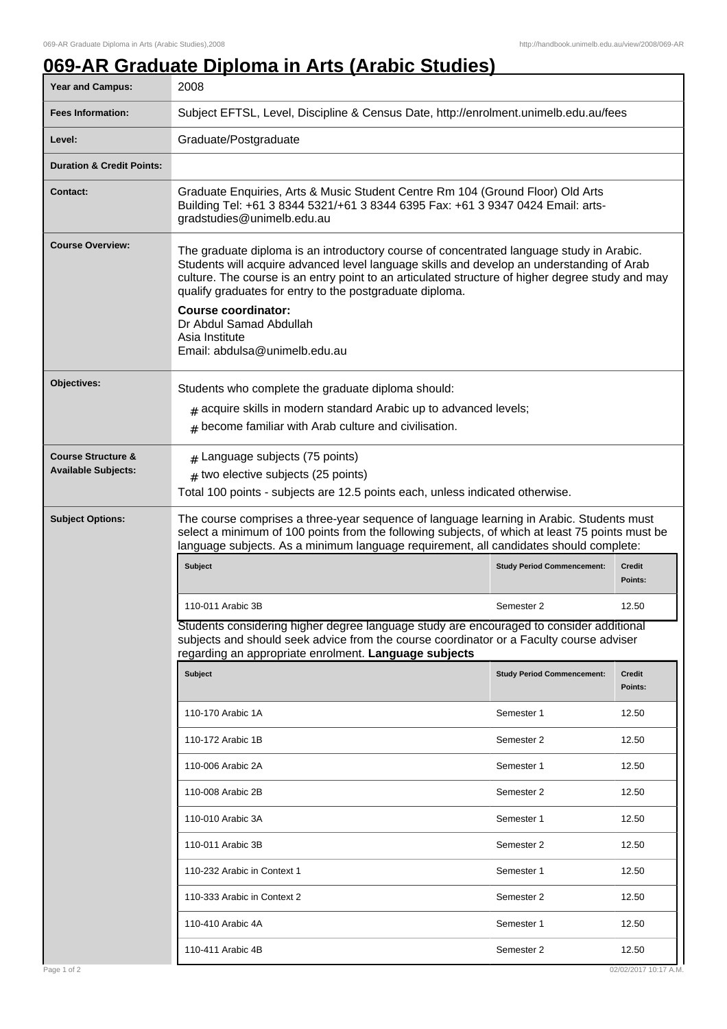## **069-AR Graduate Diploma in Arts (Arabic Studies)**

| <b>Fees Information:</b><br>Subject EFTSL, Level, Discipline & Census Date, http://enrolment.unimelb.edu.au/fees<br>Graduate/Postgraduate<br>Level:<br><b>Duration &amp; Credit Points:</b><br>Graduate Enquiries, Arts & Music Student Centre Rm 104 (Ground Floor) Old Arts<br><b>Contact:</b><br>Building Tel: +61 3 8344 5321/+61 3 8344 6395 Fax: +61 3 9347 0424 Email: arts-<br>gradstudies@unimelb.edu.au<br><b>Course Overview:</b><br>The graduate diploma is an introductory course of concentrated language study in Arabic.<br>Students will acquire advanced level language skills and develop an understanding of Arab<br>culture. The course is an entry point to an articulated structure of higher degree study and may<br>qualify graduates for entry to the postgraduate diploma.<br><b>Course coordinator:</b><br>Dr Abdul Samad Abdullah<br>Asia Institute<br>Email: abdulsa@unimelb.edu.au<br>Objectives:<br>Students who complete the graduate diploma should:<br>$#$ acquire skills in modern standard Arabic up to advanced levels;<br>$#$ become familiar with Arab culture and civilisation.<br>$#$ Language subjects (75 points)<br><b>Course Structure &amp;</b><br><b>Available Subjects:</b><br>$#$ two elective subjects (25 points)<br>Total 100 points - subjects are 12.5 points each, unless indicated otherwise. |
|--------------------------------------------------------------------------------------------------------------------------------------------------------------------------------------------------------------------------------------------------------------------------------------------------------------------------------------------------------------------------------------------------------------------------------------------------------------------------------------------------------------------------------------------------------------------------------------------------------------------------------------------------------------------------------------------------------------------------------------------------------------------------------------------------------------------------------------------------------------------------------------------------------------------------------------------------------------------------------------------------------------------------------------------------------------------------------------------------------------------------------------------------------------------------------------------------------------------------------------------------------------------------------------------------------------------------------------------------------|
|                                                                                                                                                                                                                                                                                                                                                                                                                                                                                                                                                                                                                                                                                                                                                                                                                                                                                                                                                                                                                                                                                                                                                                                                                                                                                                                                                        |
|                                                                                                                                                                                                                                                                                                                                                                                                                                                                                                                                                                                                                                                                                                                                                                                                                                                                                                                                                                                                                                                                                                                                                                                                                                                                                                                                                        |
|                                                                                                                                                                                                                                                                                                                                                                                                                                                                                                                                                                                                                                                                                                                                                                                                                                                                                                                                                                                                                                                                                                                                                                                                                                                                                                                                                        |
|                                                                                                                                                                                                                                                                                                                                                                                                                                                                                                                                                                                                                                                                                                                                                                                                                                                                                                                                                                                                                                                                                                                                                                                                                                                                                                                                                        |
|                                                                                                                                                                                                                                                                                                                                                                                                                                                                                                                                                                                                                                                                                                                                                                                                                                                                                                                                                                                                                                                                                                                                                                                                                                                                                                                                                        |
|                                                                                                                                                                                                                                                                                                                                                                                                                                                                                                                                                                                                                                                                                                                                                                                                                                                                                                                                                                                                                                                                                                                                                                                                                                                                                                                                                        |
|                                                                                                                                                                                                                                                                                                                                                                                                                                                                                                                                                                                                                                                                                                                                                                                                                                                                                                                                                                                                                                                                                                                                                                                                                                                                                                                                                        |
|                                                                                                                                                                                                                                                                                                                                                                                                                                                                                                                                                                                                                                                                                                                                                                                                                                                                                                                                                                                                                                                                                                                                                                                                                                                                                                                                                        |
| The course comprises a three-year sequence of language learning in Arabic. Students must<br><b>Subject Options:</b><br>select a minimum of 100 points from the following subjects, of which at least 75 points must be<br>language subjects. As a minimum language requirement, all candidates should complete:                                                                                                                                                                                                                                                                                                                                                                                                                                                                                                                                                                                                                                                                                                                                                                                                                                                                                                                                                                                                                                        |
| Subject<br><b>Study Period Commencement:</b><br>Credit<br>Points:                                                                                                                                                                                                                                                                                                                                                                                                                                                                                                                                                                                                                                                                                                                                                                                                                                                                                                                                                                                                                                                                                                                                                                                                                                                                                      |
| 110-011 Arabic 3B<br>Semester 2<br>12.50                                                                                                                                                                                                                                                                                                                                                                                                                                                                                                                                                                                                                                                                                                                                                                                                                                                                                                                                                                                                                                                                                                                                                                                                                                                                                                               |
| Students considering higher degree language study are encouraged to consider additional<br>subjects and should seek advice from the course coordinator or a Faculty course adviser<br>regarding an appropriate enrolment. Language subjects                                                                                                                                                                                                                                                                                                                                                                                                                                                                                                                                                                                                                                                                                                                                                                                                                                                                                                                                                                                                                                                                                                            |
| Subject<br><b>Study Period Commencement:</b><br>Credit<br>Points:                                                                                                                                                                                                                                                                                                                                                                                                                                                                                                                                                                                                                                                                                                                                                                                                                                                                                                                                                                                                                                                                                                                                                                                                                                                                                      |
| 12.50<br>110-170 Arabic 1A<br>Semester 1                                                                                                                                                                                                                                                                                                                                                                                                                                                                                                                                                                                                                                                                                                                                                                                                                                                                                                                                                                                                                                                                                                                                                                                                                                                                                                               |
| 12.50<br>110-172 Arabic 1B<br>Semester 2                                                                                                                                                                                                                                                                                                                                                                                                                                                                                                                                                                                                                                                                                                                                                                                                                                                                                                                                                                                                                                                                                                                                                                                                                                                                                                               |
| 12.50<br>110-006 Arabic 2A<br>Semester 1                                                                                                                                                                                                                                                                                                                                                                                                                                                                                                                                                                                                                                                                                                                                                                                                                                                                                                                                                                                                                                                                                                                                                                                                                                                                                                               |
| 110-008 Arabic 2B<br>12.50<br>Semester 2                                                                                                                                                                                                                                                                                                                                                                                                                                                                                                                                                                                                                                                                                                                                                                                                                                                                                                                                                                                                                                                                                                                                                                                                                                                                                                               |
| 12.50<br>110-010 Arabic 3A<br>Semester 1                                                                                                                                                                                                                                                                                                                                                                                                                                                                                                                                                                                                                                                                                                                                                                                                                                                                                                                                                                                                                                                                                                                                                                                                                                                                                                               |
| 110-011 Arabic 3B<br>Semester 2<br>12.50                                                                                                                                                                                                                                                                                                                                                                                                                                                                                                                                                                                                                                                                                                                                                                                                                                                                                                                                                                                                                                                                                                                                                                                                                                                                                                               |
| 110-232 Arabic in Context 1<br>12.50<br>Semester 1                                                                                                                                                                                                                                                                                                                                                                                                                                                                                                                                                                                                                                                                                                                                                                                                                                                                                                                                                                                                                                                                                                                                                                                                                                                                                                     |
| 12.50<br>110-333 Arabic in Context 2<br>Semester 2                                                                                                                                                                                                                                                                                                                                                                                                                                                                                                                                                                                                                                                                                                                                                                                                                                                                                                                                                                                                                                                                                                                                                                                                                                                                                                     |
| 110-410 Arabic 4A<br>Semester 1<br>12.50                                                                                                                                                                                                                                                                                                                                                                                                                                                                                                                                                                                                                                                                                                                                                                                                                                                                                                                                                                                                                                                                                                                                                                                                                                                                                                               |
| 12.50<br>110-411 Arabic 4B<br>Semester 2                                                                                                                                                                                                                                                                                                                                                                                                                                                                                                                                                                                                                                                                                                                                                                                                                                                                                                                                                                                                                                                                                                                                                                                                                                                                                                               |